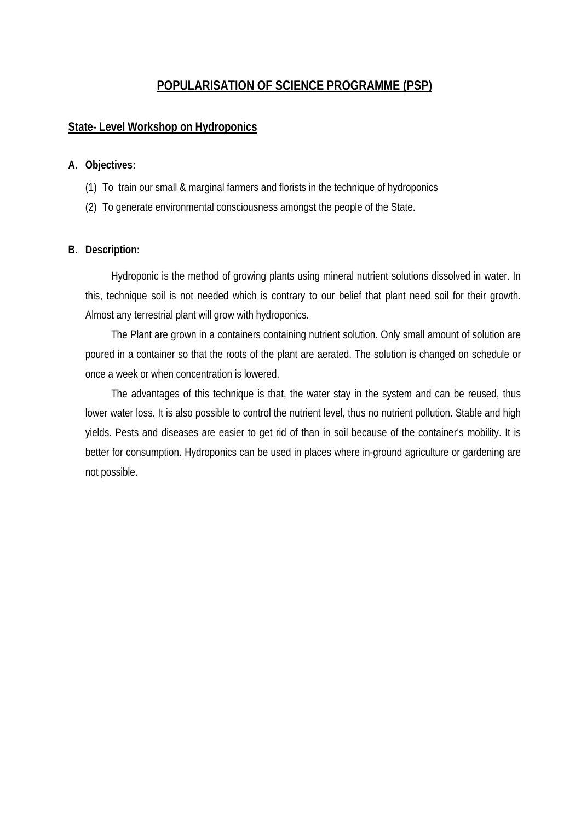# **POPULARISATION OF SCIENCE PROGRAMME (PSP)**

#### **State- Level Workshop on Hydroponics**

#### **A. Objectives:**

- (1) To train our small & marginal farmers and florists in the technique of hydroponics
- (2) To generate environmental consciousness amongst the people of the State.

#### **B. Description:**

Hydroponic is the method of growing plants using mineral nutrient solutions dissolved in water. In this, technique soil is not needed which is contrary to our belief that plant need soil for their growth. Almost any terrestrial plant will grow with hydroponics.

The Plant are grown in a containers containing nutrient solution. Only small amount of solution are poured in a container so that the roots of the plant are aerated. The solution is changed on schedule or once a week or when concentration is lowered.

The advantages of this technique is that, the water stay in the system and can be reused, thus lower water loss. It is also possible to control the nutrient level, thus no nutrient pollution. Stable and high yields. Pests and diseases are easier to get rid of than in soil because of the container's mobility. It is better for consumption. Hydroponics can be used in places where in-ground agriculture or gardening are not possible.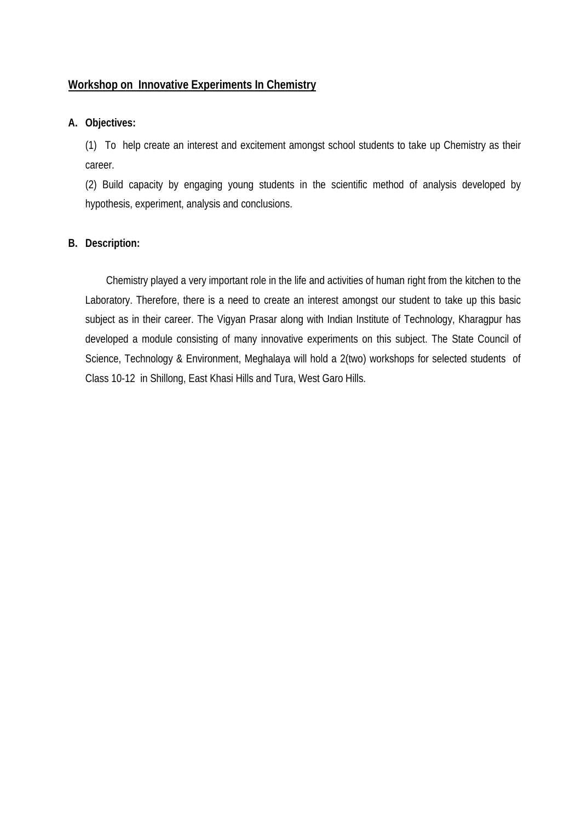### **Workshop on Innovative Experiments In Chemistry**

#### **A. Objectives:**

(1) To help create an interest and excitement amongst school students to take up Chemistry as their career.

(2) Build capacity by engaging young students in the scientific method of analysis developed by hypothesis, experiment, analysis and conclusions.

#### **B. Description:**

 Chemistry played a very important role in the life and activities of human right from the kitchen to the Laboratory. Therefore, there is a need to create an interest amongst our student to take up this basic subject as in their career. The Vigyan Prasar along with Indian Institute of Technology, Kharagpur has developed a module consisting of many innovative experiments on this subject. The State Council of Science, Technology & Environment, Meghalaya will hold a 2(two) workshops for selected students of Class 10-12 in Shillong, East Khasi Hills and Tura, West Garo Hills.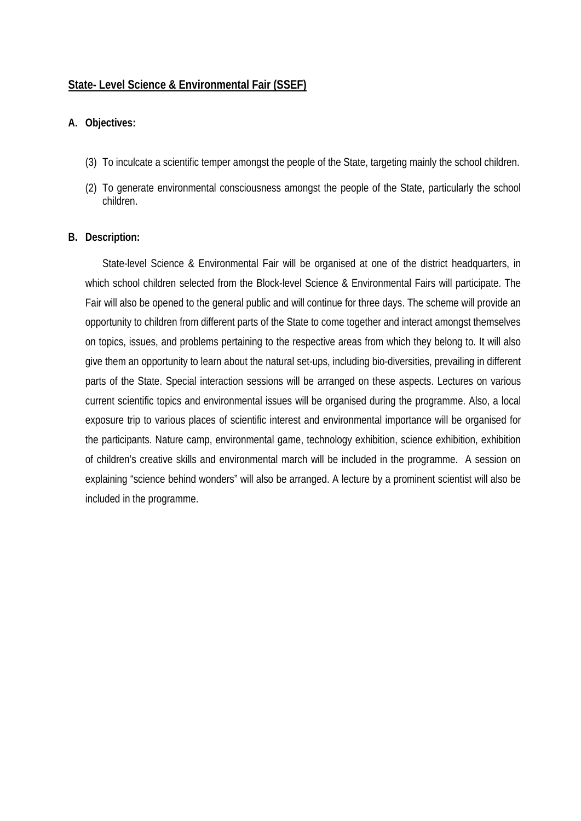### **State- Level Science & Environmental Fair (SSEF)**

#### **A. Objectives:**

- (3) To inculcate a scientific temper amongst the people of the State, targeting mainly the school children.
- (2) To generate environmental consciousness amongst the people of the State, particularly the school children.

#### **B. Description:**

State-level Science & Environmental Fair will be organised at one of the district headquarters, in which school children selected from the Block-level Science & Environmental Fairs will participate. The Fair will also be opened to the general public and will continue for three days. The scheme will provide an opportunity to children from different parts of the State to come together and interact amongst themselves on topics, issues, and problems pertaining to the respective areas from which they belong to. It will also give them an opportunity to learn about the natural set-ups, including bio-diversities, prevailing in different parts of the State. Special interaction sessions will be arranged on these aspects. Lectures on various current scientific topics and environmental issues will be organised during the programme. Also, a local exposure trip to various places of scientific interest and environmental importance will be organised for the participants. Nature camp, environmental game, technology exhibition, science exhibition, exhibition of children's creative skills and environmental march will be included in the programme. A session on explaining "science behind wonders" will also be arranged. A lecture by a prominent scientist will also be included in the programme.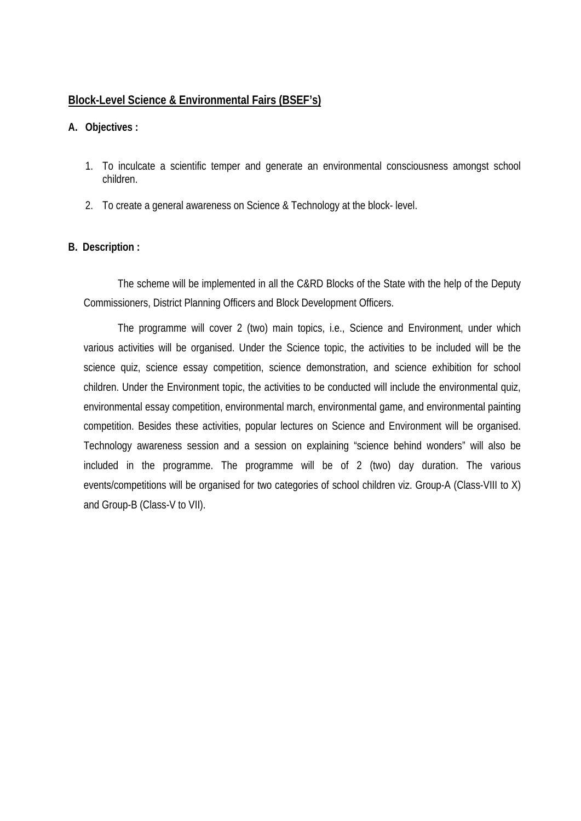### **Block-Level Science & Environmental Fairs (BSEF's)**

#### **A. Objectives :**

- 1. To inculcate a scientific temper and generate an environmental consciousness amongst school children.
- 2. To create a general awareness on Science & Technology at the block- level.

#### **B. Description :**

The scheme will be implemented in all the C&RD Blocks of the State with the help of the Deputy Commissioners, District Planning Officers and Block Development Officers.

The programme will cover 2 (two) main topics, i.e., Science and Environment, under which various activities will be organised. Under the Science topic, the activities to be included will be the science quiz, science essay competition, science demonstration, and science exhibition for school children. Under the Environment topic, the activities to be conducted will include the environmental quiz, environmental essay competition, environmental march, environmental game, and environmental painting competition. Besides these activities, popular lectures on Science and Environment will be organised. Technology awareness session and a session on explaining "science behind wonders" will also be included in the programme. The programme will be of 2 (two) day duration. The various events/competitions will be organised for two categories of school children viz. Group-A (Class-VIII to X) and Group-B (Class-V to VII).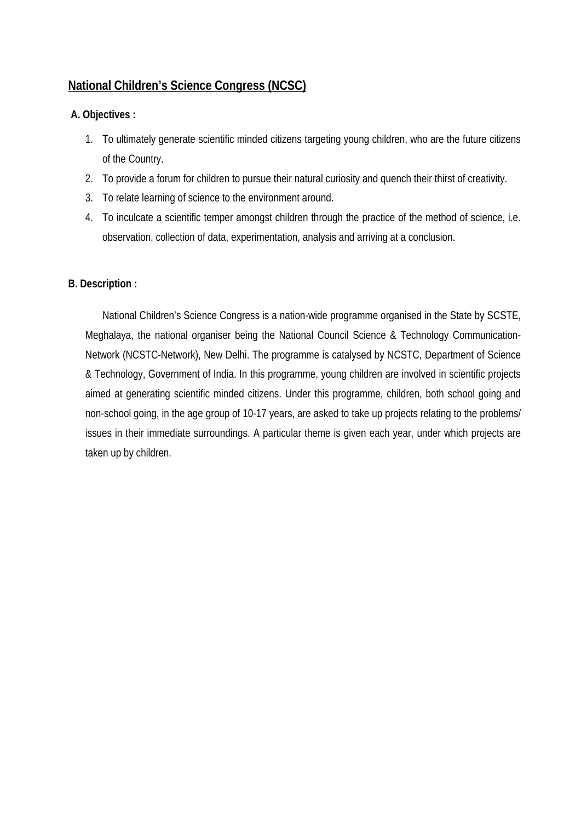# **National Children's Science Congress (NCSC)**

### **A. Objectives :**

- 1. To ultimately generate scientific minded citizens targeting young children, who are the future citizens of the Country.
- 2. To provide a forum for children to pursue their natural curiosity and quench their thirst of creativity.
- 3. To relate learning of science to the environment around.
- 4. To inculcate a scientific temper amongst children through the practice of the method of science, i.e. observation, collection of data, experimentation, analysis and arriving at a conclusion.

### **B. Description :**

National Children's Science Congress is a nation-wide programme organised in the State by SCSTE, Meghalaya, the national organiser being the National Council Science & Technology Communication-Network (NCSTC-Network), New Delhi. The programme is catalysed by NCSTC, Department of Science & Technology, Government of India. In this programme, young children are involved in scientific projects aimed at generating scientific minded citizens. Under this programme, children, both school going and non-school going, in the age group of 10-17 years, are asked to take up projects relating to the problems/ issues in their immediate surroundings. A particular theme is given each year, under which projects are taken up by children.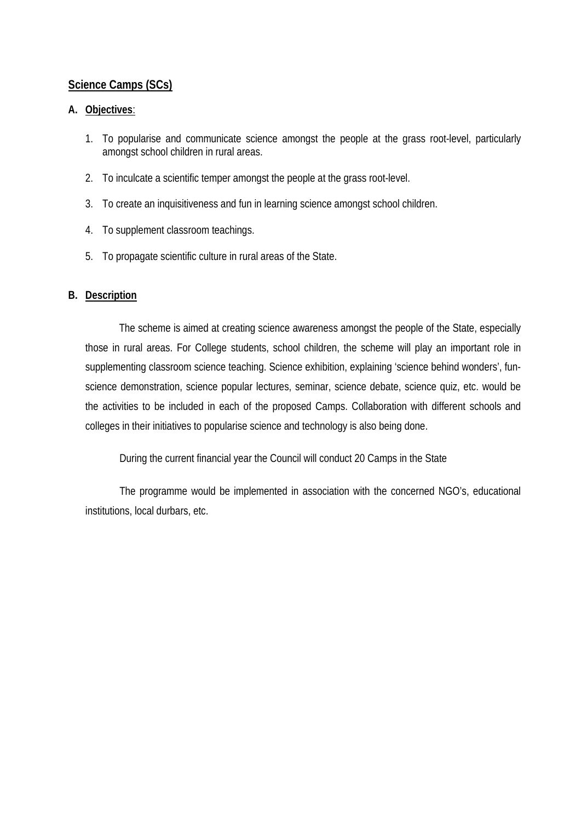### **Science Camps (SCs)**

#### **A. Objectives**:

- 1. To popularise and communicate science amongst the people at the grass root-level, particularly amongst school children in rural areas.
- 2. To inculcate a scientific temper amongst the people at the grass root-level.
- 3. To create an inquisitiveness and fun in learning science amongst school children.
- 4. To supplement classroom teachings.
- 5. To propagate scientific culture in rural areas of the State.

#### **B. Description**

 The scheme is aimed at creating science awareness amongst the people of the State, especially those in rural areas. For College students, school children, the scheme will play an important role in supplementing classroom science teaching. Science exhibition, explaining 'science behind wonders', funscience demonstration, science popular lectures, seminar, science debate, science quiz, etc. would be the activities to be included in each of the proposed Camps. Collaboration with different schools and colleges in their initiatives to popularise science and technology is also being done.

During the current financial year the Council will conduct 20 Camps in the State

The programme would be implemented in association with the concerned NGO's, educational institutions, local durbars, etc.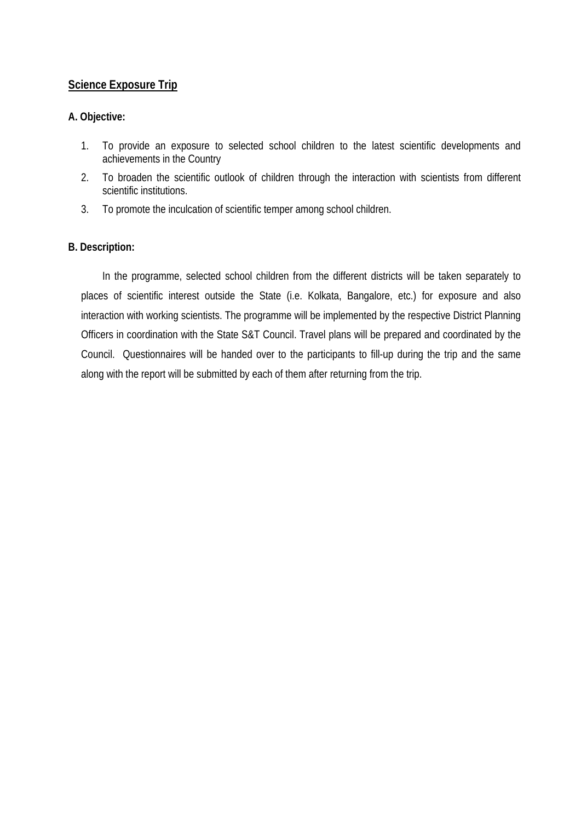# **Science Exposure Trip**

### **A. Objective:**

- 1. To provide an exposure to selected school children to the latest scientific developments and achievements in the Country
- 2. To broaden the scientific outlook of children through the interaction with scientists from different scientific institutions.
- 3. To promote the inculcation of scientific temper among school children.

### **B. Description:**

 In the programme, selected school children from the different districts will be taken separately to places of scientific interest outside the State (i.e. Kolkata, Bangalore, etc.) for exposure and also interaction with working scientists. The programme will be implemented by the respective District Planning Officers in coordination with the State S&T Council. Travel plans will be prepared and coordinated by the Council. Questionnaires will be handed over to the participants to fill-up during the trip and the same along with the report will be submitted by each of them after returning from the trip.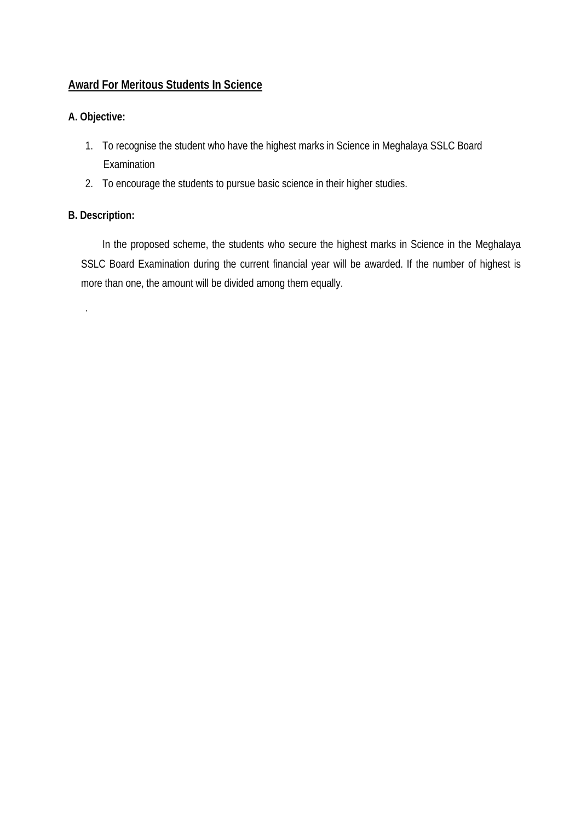# **Award For Meritous Students In Science**

# **A. Objective:**

- 1. To recognise the student who have the highest marks in Science in Meghalaya SSLC Board Examination
- 2. To encourage the students to pursue basic science in their higher studies.

### **B. Description:**

.

 In the proposed scheme, the students who secure the highest marks in Science in the Meghalaya SSLC Board Examination during the current financial year will be awarded. If the number of highest is more than one, the amount will be divided among them equally.